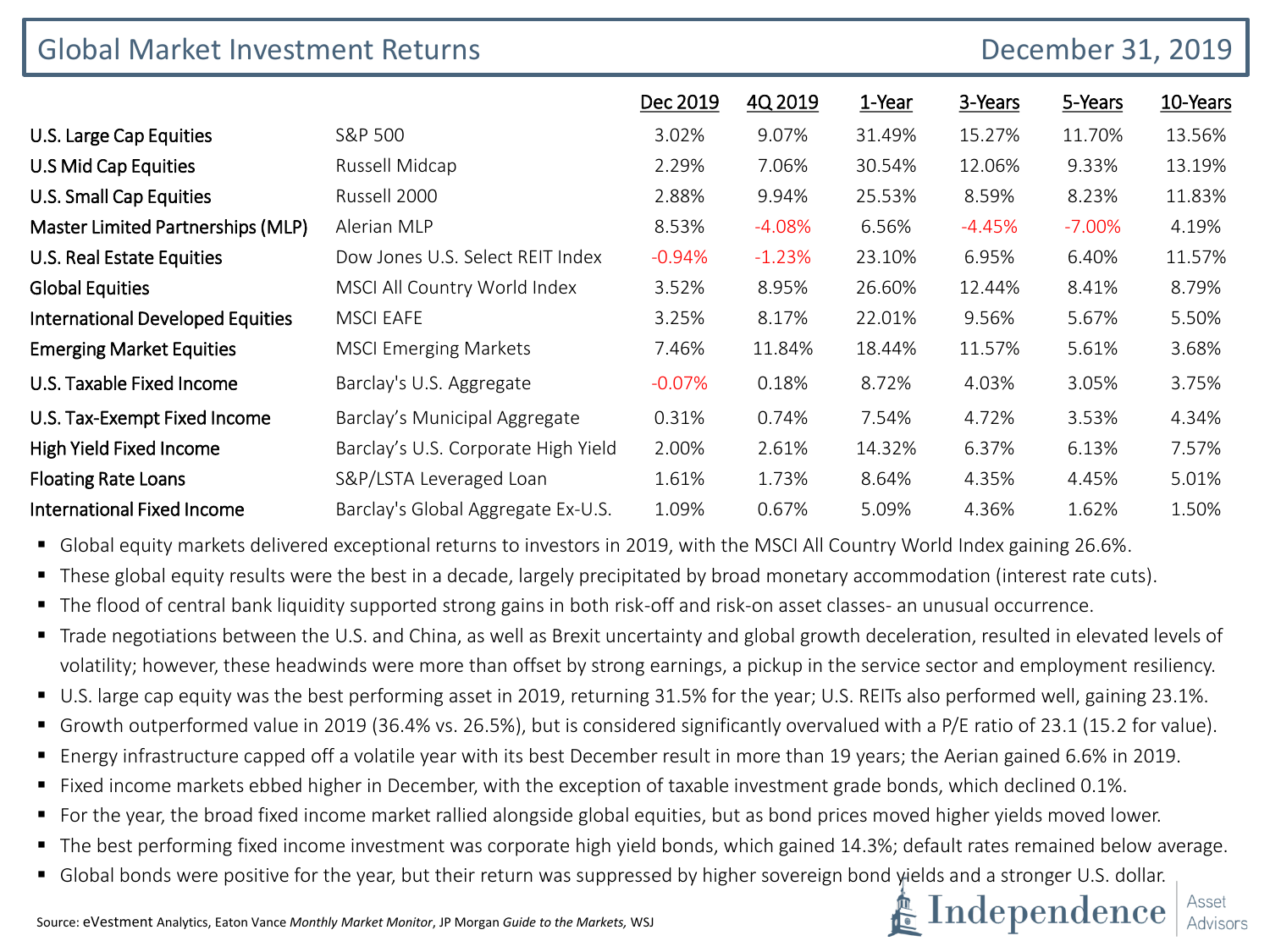| <b>Global Market Investment Returns</b> | December 31, 2019                   |          |          |        |          |          |          |
|-----------------------------------------|-------------------------------------|----------|----------|--------|----------|----------|----------|
|                                         |                                     | Dec 2019 | 4Q 2019  | 1-Year | 3-Years  | 5-Years  | 10-Years |
| U.S. Large Cap Equities                 | S&P 500                             | 3.02%    | 9.07%    | 31.49% | 15.27%   | 11.70%   | 13.56%   |
| <b>U.S Mid Cap Equities</b>             | Russell Midcap                      | 2.29%    | 7.06%    | 30.54% | 12.06%   | 9.33%    | 13.19%   |
| U.S. Small Cap Equities                 | Russell 2000                        | 2.88%    | 9.94%    | 25.53% | 8.59%    | 8.23%    | 11.83%   |
| Master Limited Partnerships (MLP)       | Alerian MLP                         | 8.53%    | $-4.08%$ | 6.56%  | $-4.45%$ | $-7.00%$ | 4.19%    |
| U.S. Real Estate Equities               | Dow Jones U.S. Select REIT Index    | $-0.94%$ | $-1.23%$ | 23.10% | 6.95%    | 6.40%    | 11.57%   |
| <b>Global Equities</b>                  | MSCI All Country World Index        | 3.52%    | 8.95%    | 26.60% | 12.44%   | 8.41%    | 8.79%    |
| <b>International Developed Equities</b> | <b>MSCI EAFE</b>                    | 3.25%    | 8.17%    | 22.01% | 9.56%    | 5.67%    | 5.50%    |
| <b>Emerging Market Equities</b>         | <b>MSCI Emerging Markets</b>        | 7.46%    | 11.84%   | 18.44% | 11.57%   | 5.61%    | 3.68%    |
| U.S. Taxable Fixed Income               | Barclay's U.S. Aggregate            | $-0.07%$ | 0.18%    | 8.72%  | 4.03%    | 3.05%    | 3.75%    |
| U.S. Tax-Exempt Fixed Income            | Barclay's Municipal Aggregate       | 0.31%    | 0.74%    | 7.54%  | 4.72%    | 3.53%    | 4.34%    |
| <b>High Yield Fixed Income</b>          | Barclay's U.S. Corporate High Yield | 2.00%    | 2.61%    | 14.32% | 6.37%    | 6.13%    | 7.57%    |
| <b>Floating Rate Loans</b>              | S&P/LSTA Leveraged Loan             | 1.61%    | 1.73%    | 8.64%  | 4.35%    | 4.45%    | 5.01%    |
| <b>International Fixed Income</b>       | Barclay's Global Aggregate Ex-U.S.  | 1.09%    | 0.67%    | 5.09%  | 4.36%    | 1.62%    | 1.50%    |

▪ Global equity markets delivered exceptional returns to investors in 2019, with the MSCI All Country World Index gaining 26.6%.

■ These global equity results were the best in a decade, largely precipitated by broad monetary accommodation (interest rate cuts).

- The flood of central bank liquidity supported strong gains in both risk-off and risk-on asset classes- an unusual occurrence.
- Trade negotiations between the U.S. and China, as well as Brexit uncertainty and global growth deceleration, resulted in elevated levels of volatility; however, these headwinds were more than offset by strong earnings, a pickup in the service sector and employment resiliency.
- U.S. large cap equity was the best performing asset in 2019, returning 31.5% for the year; U.S. REITs also performed well, gaining 23.1%.
- Growth outperformed value in 2019 (36.4% vs. 26.5%), but is considered significantly overvalued with a P/E ratio of 23.1 (15.2 for value).
- Energy infrastructure capped off a volatile year with its best December result in more than 19 years; the Aerian gained 6.6% in 2019.
- Fixed income markets ebbed higher in December, with the exception of taxable investment grade bonds, which declined 0.1%.
- For the year, the broad fixed income market rallied alongside global equities, but as bond prices moved higher yields moved lower.
- The best performing fixed income investment was corporate high yield bonds, which gained 14.3%; default rates remained below average.
- Global bonds were positive for the year, but their return was suppressed by higher sovereign bond yields and a stronger U.S. dollar.



Asset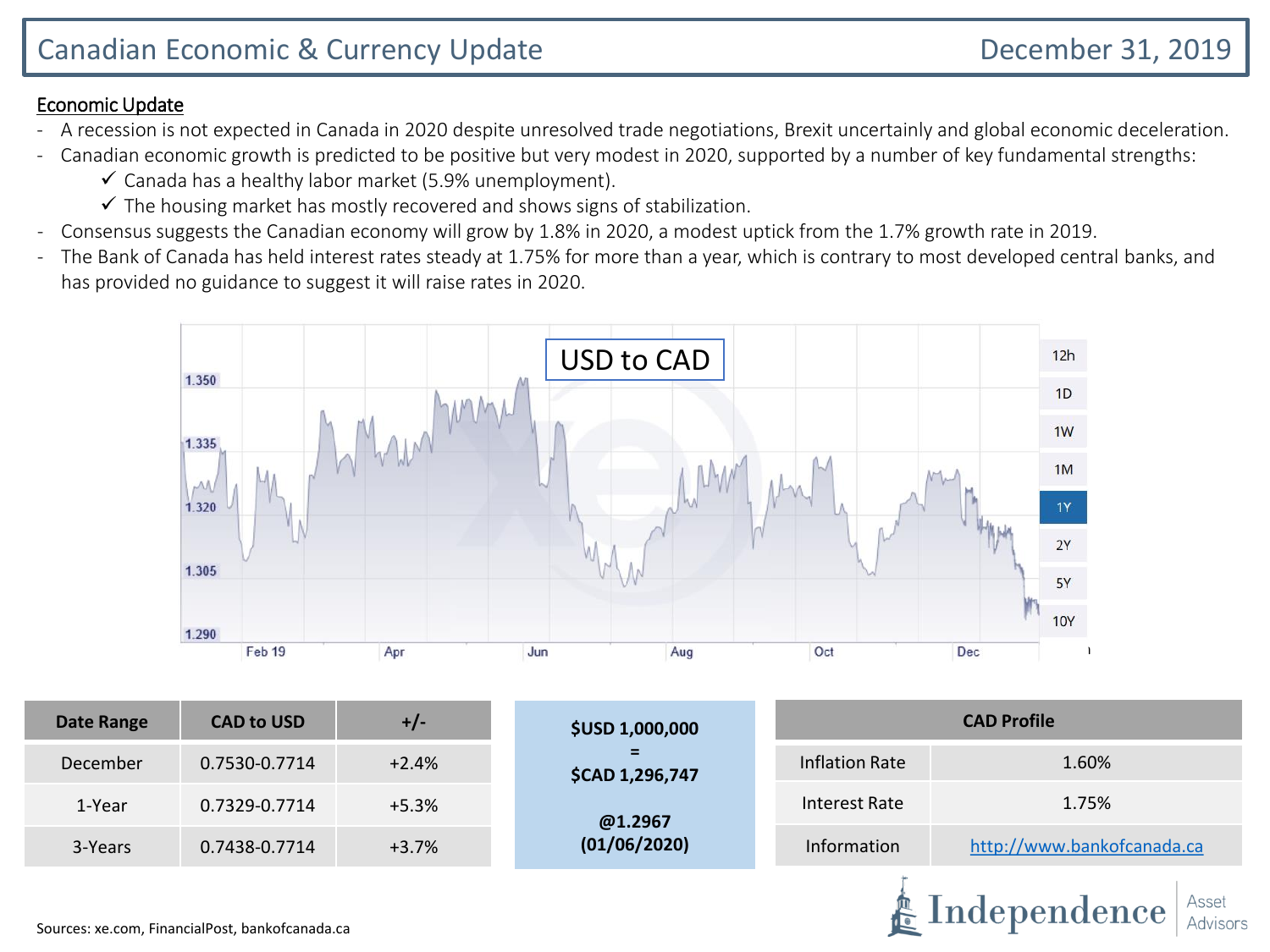Independence

## Economic Update

- A recession is not expected in Canada in 2020 despite unresolved trade negotiations, Brexit uncertainly and global economic deceleration.
- Canadian economic growth is predicted to be positive but very modest in 2020, supported by a number of key fundamental strengths:
	- $\checkmark$  Canada has a healthy labor market (5.9% unemployment).
	- $\checkmark$  The housing market has mostly recovered and shows signs of stabilization.
- Consensus suggests the Canadian economy will grow by 1.8% in 2020, a modest uptick from the 1.7% growth rate in 2019.
- The Bank of Canada has held interest rates steady at 1.75% for more than a year, which is contrary to most developed central banks, and has provided no guidance to suggest it will raise rates in 2020.



| <b>Date Range</b> | <b>CAD to USD</b> | $+/-$   | <b>\$USD 1,000,000</b> | <b>CAD Profile</b> |                            |  |  |
|-------------------|-------------------|---------|------------------------|--------------------|----------------------------|--|--|
| December          | 0.7530-0.7714     | $+2.4%$ | Ξ.<br>\$CAD 1,296,747  | Inflation Rate     | 1.60%                      |  |  |
| 1-Year            | 0.7329-0.7714     | $+5.3%$ | @1.2967                | Interest Rate      | 1.75%                      |  |  |
| 3-Years           | 0.7438-0.7714     | $+3.7%$ | (01/06/2020)           | Information        | http://www.bankofcanada.ca |  |  |
|                   |                   |         |                        |                    |                            |  |  |